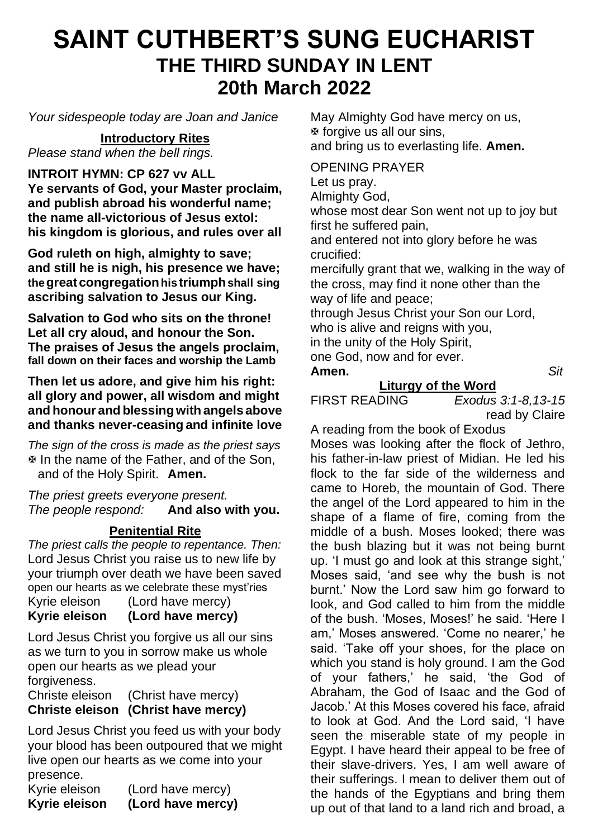## **SAINT CUTHBERT'S SUNG EUCHARIST THE THIRD SUNDAY IN LENT 20th March 2022**

*Your sidespeople today are Joan and Janice*

**Introductory Rites** *Please stand when the bell rings.*

**INTROIT HYMN: CP 627 vv ALL**

**Ye servants of God, your Master proclaim, and publish abroad his wonderful name; the name all-victorious of Jesus extol: his kingdom is glorious, and rules over all**

**God ruleth on high, almighty to save; and still he is nigh, his presence we have; thegreatcongregationhistriumphshall sing ascribing salvation to Jesus our King.**

**Salvation to God who sits on the throne! Let all cry aloud, and honour the Son. The praises of Jesus the angels proclaim, fall down on their faces and worship the Lamb**

**Then let us adore, and give him his right: all glory and power, all wisdom and might and honour and blessingwith angels above and thanks never-ceasing and infinite love**

*The sign of the cross is made as the priest says* In the name of the Father, and of the Son, and of the Holy Spirit. **Amen.**

*The priest greets everyone present. The people respond:* **And also with you.**

## **Penitential Rite**

*The priest calls the people to repentance. Then:* Lord Jesus Christ you raise us to new life by your triumph over death we have been saved open our hearts as we celebrate these myst'ries Kyrie eleison (Lord have mercy) **Kyrie eleison (Lord have mercy)**

Lord Jesus Christ you forgive us all our sins as we turn to you in sorrow make us whole open our hearts as we plead your forgiveness.

Christe eleison (Christ have mercy) **Christe eleison (Christ have mercy)**

Lord Jesus Christ you feed us with your body your blood has been outpoured that we might live open our hearts as we come into your presence.

Kyrie eleison (Lord have mercy) **Kyrie eleison (Lord have mercy)** May Almighty God have mercy on us, forgive us all our sins, and bring us to everlasting life. **Amen.**

OPENING PRAYER

Let us pray.

Almighty God,

whose most dear Son went not up to joy but first he suffered pain,

and entered not into glory before he was crucified:

mercifully grant that we, walking in the way of the cross, may find it none other than the way of life and peace;

through Jesus Christ your Son our Lord, who is alive and reigns with you. in the unity of the Holy Spirit,

one God, now and for ever.

**Amen.** *Sit*

# **Liturgy of the Word**<br>**EIRST READING** *Exodus*

Exodus 3:1-8,13-15 read by Claire

A reading from the book of Exodus

Moses was looking after the flock of Jethro, his father-in-law priest of Midian. He led his flock to the far side of the wilderness and came to Horeb, the mountain of God. There the angel of the Lord appeared to him in the shape of a flame of fire, coming from the middle of a bush. Moses looked; there was the bush blazing but it was not being burnt up. 'I must go and look at this strange sight,' Moses said, 'and see why the bush is not burnt.' Now the Lord saw him go forward to look, and God called to him from the middle of the bush. 'Moses, Moses!' he said. 'Here I am,' Moses answered. 'Come no nearer,' he said. 'Take off your shoes, for the place on which you stand is holy ground. I am the God of your fathers,' he said, 'the God of Abraham, the God of Isaac and the God of Jacob.' At this Moses covered his face, afraid to look at God. And the Lord said, 'I have seen the miserable state of my people in Egypt. I have heard their appeal to be free of their slave-drivers. Yes, I am well aware of their sufferings. I mean to deliver them out of the hands of the Egyptians and bring them up out of that land to a land rich and broad, a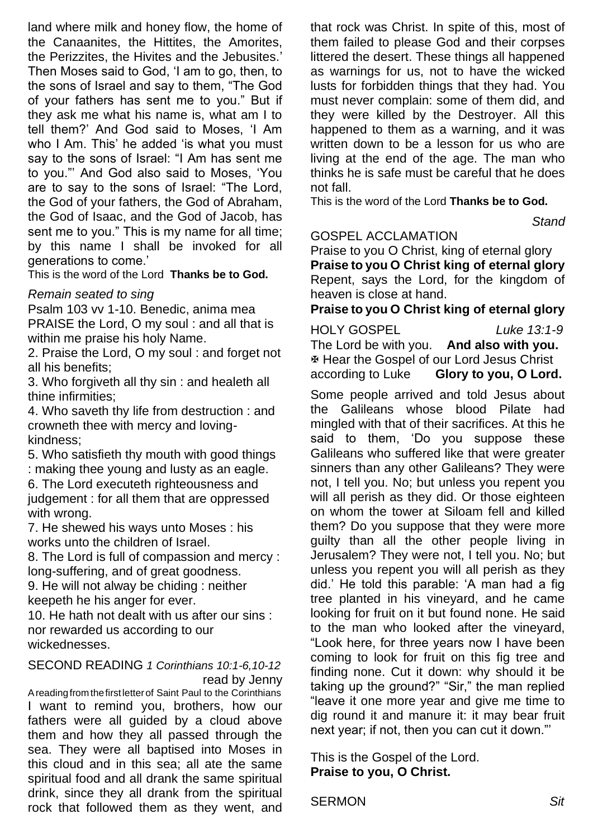land where milk and honey flow, the home of the Canaanites, the Hittites, the Amorites, the Perizzites, the Hivites and the Jebusites.' Then Moses said to God, 'I am to go, then, to the sons of Israel and say to them, "The God of your fathers has sent me to you." But if they ask me what his name is, what am I to tell them?' And God said to Moses, 'I Am who I Am. This' he added 'is what you must say to the sons of Israel: "I Am has sent me to you."' And God also said to Moses, 'You are to say to the sons of Israel: "The Lord, the God of your fathers, the God of Abraham, the God of Isaac, and the God of Jacob, has sent me to you." This is my name for all time; by this name I shall be invoked for all generations to come.'

This is the word of the Lord **Thanks be to God.**

#### *Remain seated to sing*

Psalm 103 vv 1-10. Benedic, anima mea PRAISE the Lord, O my soul : and all that is within me praise his holy Name.

2. Praise the Lord, O my soul : and forget not all his benefits;

3. Who forgiveth all thy sin : and healeth all thine infirmities;

4. Who saveth thy life from destruction : and crowneth thee with mercy and lovingkindness;

5. Who satisfieth thy mouth with good things : making thee young and lusty as an eagle.

6. The Lord executeth righteousness and judgement : for all them that are oppressed with wrong.

7. He shewed his ways unto Moses : his works unto the children of Israel.

8. The Lord is full of compassion and mercy : long-suffering, and of great goodness.

9. He will not alway be chiding : neither keepeth he his anger for ever.

10. He hath not dealt with us after our sins : nor rewarded us according to our wickednesses.

#### SECOND READING *1 Corinthians 10:1-6,10-12* read by Jenny

Areadingfromthefirstletterof Saint Paul to the Corinthians I want to remind you, brothers, how our fathers were all guided by a cloud above them and how they all passed through the sea. They were all baptised into Moses in this cloud and in this sea; all ate the same spiritual food and all drank the same spiritual drink, since they all drank from the spiritual rock that followed them as they went, and

that rock was Christ. In spite of this, most of them failed to please God and their corpses littered the desert. These things all happened as warnings for us, not to have the wicked lusts for forbidden things that they had. You must never complain: some of them did, and they were killed by the Destroyer. All this happened to them as a warning, and it was written down to be a lesson for us who are living at the end of the age. The man who thinks he is safe must be careful that he does not fall.

This is the word of the Lord **Thanks be to God.**

 *Stand*

#### GOSPEL ACCLAMATION

Praise to you O Christ, king of eternal glory **Praise to you O Christ king of eternal glory** Repent, says the Lord, for the kingdom of heaven is close at hand.

**Praise to you O Christ king of eternal glory**

HOLY GOSPEL *Luke 13:1-9* The Lord be with you. **And also with you.** Hear the Gospel of our Lord Jesus Christ according to Luke **Glory to you, O Lord.**

Some people arrived and told Jesus about the Galileans whose blood Pilate had mingled with that of their sacrifices. At this he said to them, 'Do you suppose these Galileans who suffered like that were greater sinners than any other Galileans? They were not, I tell you. No; but unless you repent you will all perish as they did. Or those eighteen on whom the tower at Siloam fell and killed them? Do you suppose that they were more guilty than all the other people living in Jerusalem? They were not, I tell you. No; but unless you repent you will all perish as they did.' He told this parable: 'A man had a fig tree planted in his vineyard, and he came looking for fruit on it but found none. He said to the man who looked after the vineyard, "Look here, for three years now I have been coming to look for fruit on this fig tree and finding none. Cut it down: why should it be taking up the ground?" "Sir," the man replied "leave it one more year and give me time to dig round it and manure it: it may bear fruit next year; if not, then you can cut it down."'

This is the Gospel of the Lord. **Praise to you, O Christ.**

SERMON *Sit*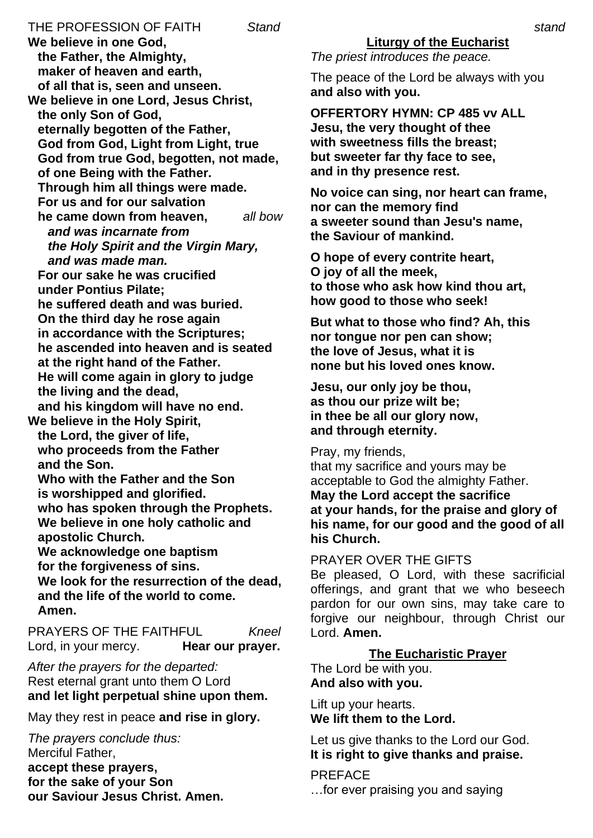THE PROFESSION OF FAITH *Stand* **We believe in one God, the Father, the Almighty, maker of heaven and earth, of all that is, seen and unseen. We believe in one Lord, Jesus Christ, the only Son of God, eternally begotten of the Father, God from God, Light from Light, true God from true God, begotten, not made, of one Being with the Father. Through him all things were made. For us and for our salvation he came down from heaven,** *all bow and was incarnate from the Holy Spirit and the Virgin Mary, and was made man.* **For our sake he was crucified under Pontius Pilate; he suffered death and was buried. On the third day he rose again in accordance with the Scriptures; he ascended into heaven and is seated at the right hand of the Father. He will come again in glory to judge the living and the dead, and his kingdom will have no end. We believe in the Holy Spirit, the Lord, the giver of life, who proceeds from the Father and the Son. Who with the Father and the Son is worshipped and glorified. who has spoken through the Prophets. We believe in one holy catholic and apostolic Church. We acknowledge one baptism for the forgiveness of sins. We look for the resurrection of the dead, and the life of the world to come. Amen.** PRAYERS OF THE FAITHFUL *Kneel* Lord, in your mercy. **Hear our prayer.** 

*After the prayers for the departed:* Rest eternal grant unto them O Lord **and let light perpetual shine upon them.**

May they rest in peace **and rise in glory.**

*The prayers conclude thus:* Merciful Father, **accept these prayers, for the sake of your Son our Saviour Jesus Christ. Amen.** *The priest introduces the peace.*

The peace of the Lord be always with you **and also with you.**

**OFFERTORY HYMN: CP 485 vv ALL Jesu, the very thought of thee with sweetness fills the breast; but sweeter far thy face to see, and in thy presence rest.**

**No voice can sing, nor heart can frame, nor can the memory find a sweeter sound than Jesu's name, the Saviour of mankind.**

**O hope of every contrite heart, O joy of all the meek, to those who ask how kind thou art, how good to those who seek!**

**But what to those who find? Ah, this nor tongue nor pen can show; the love of Jesus, what it is none but his loved ones know.**

**Jesu, our only joy be thou, as thou our prize wilt be; in thee be all our glory now, and through eternity.**

Pray, my friends,

that my sacrifice and yours may be acceptable to God the almighty Father. **May the Lord accept the sacrifice at your hands, for the praise and glory of his name, for our good and the good of all his Church.**

PRAYER OVER THE GIFTS

Be pleased, O Lord, with these sacrificial offerings, and grant that we who beseech pardon for our own sins, may take care to forgive our neighbour, through Christ our Lord. **Amen.**

## **The Eucharistic Prayer**

The Lord be with you. **And also with you.** 

Lift up your hearts. **We lift them to the Lord.**

Let us give thanks to the Lord our God. **It is right to give thanks and praise.**

PREFACE …for ever praising you and saying